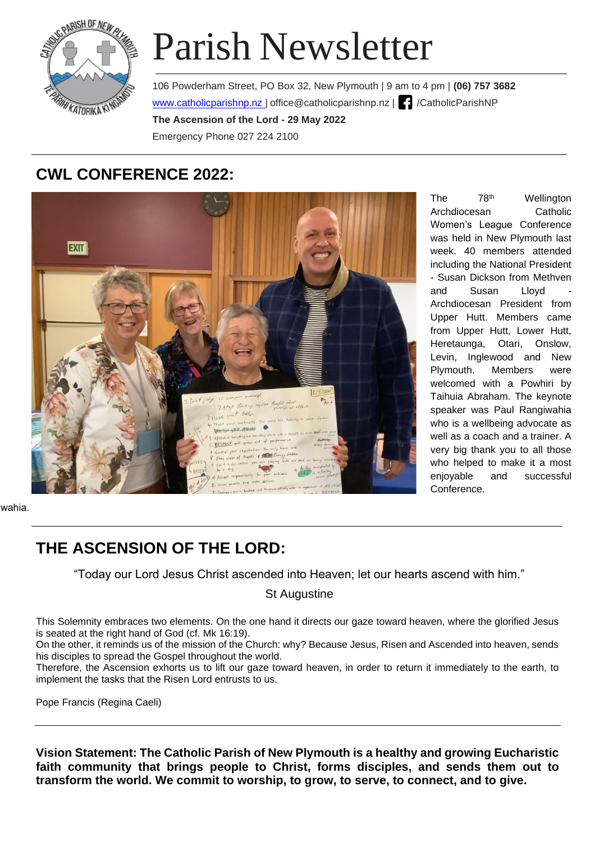

# Parish Newsletter

106 Powderham Street, PO Box 32, New Plymouth | 9 am to 4 pm | **(06) 757 3682**  www.catholicparishnp.nz | [office@catholicparishnp.nz](mailto:office@catholicparishnp.nz) | | /CatholicParishNP **The Ascension of the Lord - 29 May 2022**  Emergency Phone 027 224 2100

# **CWL CONFERENCE 2022:**



The 78<sup>th</sup> Wellington Archdiocesan Catholic Women's League Conference was held in New Plymouth last week. 40 members attended including the National President - Susan Dickson from Methven and Susan Lloyd Archdiocesan President from Upper Hutt. Members came from Upper Hutt, Lower Hutt, Heretaunga, Otari, Onslow, Levin, Inglewood and New Plymouth. Members were welcomed with a Powhiri by Taihuia Abraham. The keynote speaker was Paul Rangiwahia who is a wellbeing advocate as well as a coach and a trainer. A very big thank you to all those who helped to make it a most enjoyable and successful Conference.

wahia.

## **THE ASCENSION OF THE LORD:**

"Today our Lord Jesus Christ ascended into Heaven; let our hearts ascend with him."

St Augustine

This Solemnity embraces two elements. On the one hand it directs our gaze toward heaven, where the glorified Jesus is seated at the right hand of God (cf. Mk 16:19).

On the other, it reminds us of the mission of the Church: why? Because Jesus, Risen and Ascended into heaven, sends his disciples to spread the Gospel throughout the world.

Therefore, the Ascension exhorts us to lift our gaze toward heaven, in order to return it immediately to the earth, to implement the tasks that the Risen Lord entrusts to us.

Pope Francis (Regina Caeli)

**Vision Statement: The Catholic Parish of New Plymouth is a healthy and growing Eucharistic faith community that brings people to Christ, forms disciples, and sends them out to transform the world. We commit to worship, to grow, to serve, to connect, and to give.**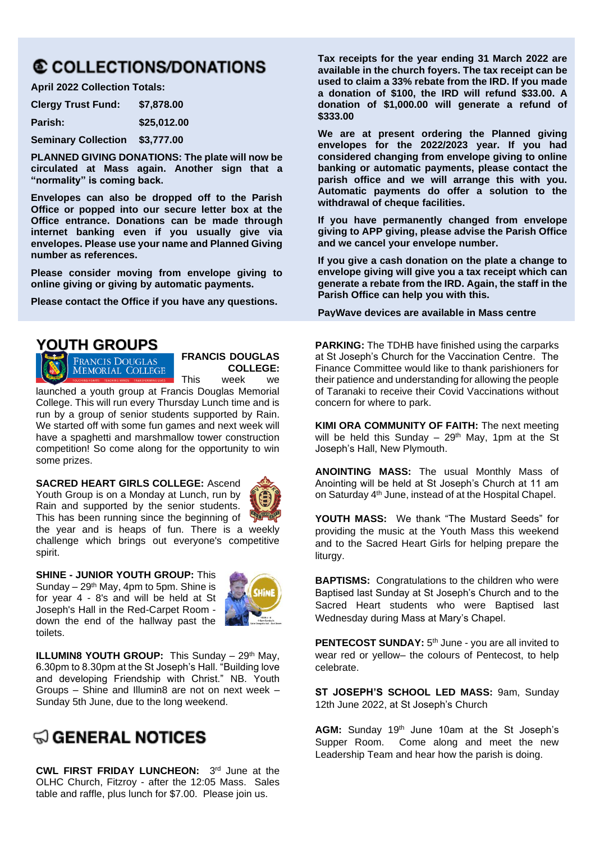# **© COLLECTIONS/DONATIONS**

**April 2022 Collection Totals:**

| <b>Clergy Trust Fund:</b>  | \$7,878,00  |
|----------------------------|-------------|
| <b>Parish:</b>             | \$25,012.00 |
| <b>Seminary Collection</b> | \$3,777.00  |

**PLANNED GIVING DONATIONS: The plate will now be circulated at Mass again. Another sign that a "normality" is coming back.**

**Envelopes can also be dropped off to the Parish Office or popped into our secure letter box at the Office entrance. Donations can be made through internet banking even if you usually give via envelopes. Please use your name and Planned Giving number as references.**

**Please consider moving from envelope giving to online giving or giving by automatic payments.**

**Please contact the Office if you have any questions.**

## **YOUTH GROUPS**

**FRANCIS DOUGLAS MEMORIAL COLLEGE** 

**FRANCIS DOUGLAS COLLEGE:**  This week we

launched a youth group at Francis Douglas Memorial College. This will run every Thursday Lunch time and is run by a group of senior students supported by Rain. We started off with some fun games and next week will have a spaghetti and marshmallow tower construction competition! So come along for the opportunity to win some prizes.

#### **SACRED HEART GIRLS COLLEGE:** Ascend

Youth Group is on a Monday at Lunch, run by Rain and supported by the senior students. This has been running since the beginning of the year and is heaps of fun. There is a weekly challenge which brings out everyone's competitive spirit.

**SHINE - JUNIOR YOUTH GROUP:** This Sunday –  $29<sup>th</sup>$  May, 4pm to 5pm. Shine is for year 4 - 8's and will be held at St Joseph's Hall in the Red-Carpet Room down the end of the hallway past the toilets.



**ILLUMIN8 YOUTH GROUP:** This Sunday – 29<sup>th</sup> May, 6.30pm to 8.30pm at the St Joseph's Hall. "Building love and developing Friendship with Christ." NB. Youth Groups – Shine and Illumin8 are not on next week – Sunday 5th June, due to the long weekend.

# ୍କଠ GENERAL NOTICES

**CWL FIRST FRIDAY LUNCHEON:** 3<sup>rd</sup> June at the OLHC Church, Fitzroy - after the 12:05 Mass. Sales table and raffle, plus lunch for \$7.00. Please join us.

**Tax receipts for the year ending 31 March 2022 are available in the church foyers. The tax receipt can be used to claim a 33% rebate from the IRD. If you made a donation of \$100, the IRD will refund \$33.00. A donation of \$1,000.00 will generate a refund of \$333.00**

**We are at present ordering the Planned giving envelopes for the 2022/2023 year. If you had considered changing from envelope giving to online banking or automatic payments, please contact the parish office and we will arrange this with you. Automatic payments do offer a solution to the withdrawal of cheque facilities.**

**If you have permanently changed from envelope giving to APP giving, please advise the Parish Office and we cancel your envelope number.**

**If you give a cash donation on the plate a change to envelope giving will give you a tax receipt which can generate a rebate from the IRD. Again, the staff in the Parish Office can help you with this.**

**PayWave devices are available in Mass centre** 

**PARKING:** The TDHB have finished using the carparks at St Joseph's Church for the Vaccination Centre. The Finance Committee would like to thank parishioners for their patience and understanding for allowing the people of Taranaki to receive their Covid Vaccinations without concern for where to park.

**KIMI ORA COMMUNITY OF FAITH:** The next meeting will be held this Sunday –  $29<sup>th</sup>$  May, 1pm at the St Joseph's Hall, New Plymouth.

**ANOINTING MASS:** The usual Monthly Mass of Anointing will be held at St Joseph's Church at 11 am on Saturday 4 th June, instead of at the Hospital Chapel.

**YOUTH MASS:** We thank "The Mustard Seeds" for providing the music at the Youth Mass this weekend and to the Sacred Heart Girls for helping prepare the liturgy.

**BAPTISMS:** Congratulations to the children who were Baptised last Sunday at St Joseph's Church and to the Sacred Heart students who were Baptised last Wednesday during Mass at Mary's Chapel.

**PENTECOST SUNDAY:** 5<sup>th</sup> June - you are all invited to wear red or yellow– the colours of Pentecost, to help celebrate.

**ST JOSEPH'S SCHOOL LED MASS:** 9am, Sunday 12th June 2022, at St Joseph's Church

AGM: Sunday 19<sup>th</sup> June 10am at the St Joseph's Supper Room. Come along and meet the new Leadership Team and hear how the parish is doing.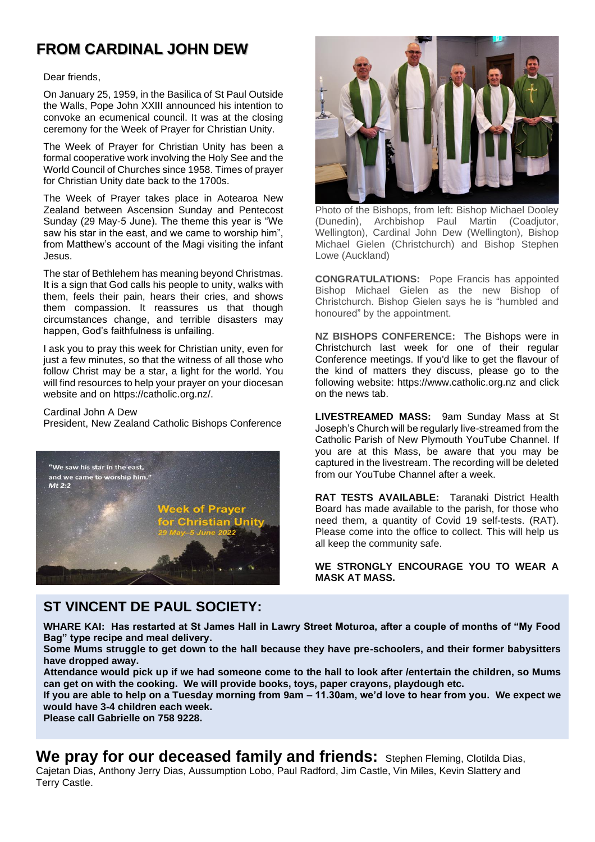## **FROM CARDINAL JOHN DEW**

#### Dear friends,

On January 25, 1959, in the Basilica of St Paul Outside the Walls, Pope John XXIII announced his intention to convoke an ecumenical council. It was at the closing ceremony for the Week of Prayer for Christian Unity.

The Week of Prayer for Christian Unity has been a formal cooperative work involving the Holy See and the World Council of Churches since 1958. Times of prayer for Christian Unity date back to the 1700s.

The Week of Prayer takes place in Aotearoa New Zealand between Ascension Sunday and Pentecost Sunday (29 May-5 June). The theme this year is "We saw his star in the east, and we came to worship him", from Matthew's account of the Magi visiting the infant Jesus.

The star of Bethlehem has meaning beyond Christmas. It is a sign that God calls his people to unity, walks with them, feels their pain, hears their cries, and shows them compassion. It reassures us that though circumstances change, and terrible disasters may happen, God's faithfulness is unfailing.

I ask you to pray this week for Christian unity, even for just a few minutes, so that the witness of all those who follow Christ may be a star, a light for the world. You will find resources to help your prayer on your diocesan website and on [https://catholic.org.nz/.](https://catholic.org.nz/)

#### Cardinal John A Dew

President, New Zealand Catholic Bishops Conference



## **ST VINCENT DE PAUL SOCIETY:**



Photo of the Bishops, from left: Bishop Michael Dooley (Dunedin), Archbishop Paul Martin (Coadjutor, Wellington), Cardinal John Dew (Wellington), Bishop Michael Gielen (Christchurch) and Bishop Stephen Lowe (Auckland)

**CONGRATULATIONS:** Pope Francis has appointed Bishop Michael Gielen as the new Bishop of Christchurch. Bishop Gielen says he is "humbled and honoured" by the appointment.

**NZ BISHOPS CONFERENCE:** The Bishops were in Christchurch last week for one of their regular Conference meetings. If you'd like to get the flavour of the kind of matters they discuss, please go to the following website: https://www.catholic.org.nz and click on the news tab.

**LIVESTREAMED MASS:** 9am Sunday Mass at St Joseph's Church will be regularly live-streamed from the Catholic Parish of New Plymouth YouTube Channel. If you are at this Mass, be aware that you may be captured in the livestream. The recording will be deleted from our YouTube Channel after a week.

**RAT TESTS AVAILABLE:** Taranaki District Health Board has made available to the parish, for those who need them, a quantity of Covid 19 self-tests. (RAT). Please come into the office to collect. This will help us all keep the community safe.

**WE STRONGLY ENCOURAGE YOU TO WEAR A MASK AT MASS.**

**WHARE KAI: Has restarted at St James Hall in Lawry Street Moturoa, after a couple of months of "My Food Bag" type recipe and meal delivery.** 

**Some Mums struggle to get down to the hall because they have pre-schoolers, and their former babysitters have dropped away.** 

**Attendance would pick up if we had someone come to the hall to look after /entertain the children, so Mums can get on with the cooking. We will provide books, toys, paper crayons, playdough etc.** 

**If you are able to help on a Tuesday morning from 9am – 11.30am, we'd love to hear from you. We expect we would have 3-4 children each week.**

**Please call Gabrielle on 758 9228.**

We pray for our deceased family and friends: Stephen Fleming, Clotilda Dias, Cajetan Dias, Anthony Jerry Dias, Aussumption Lobo, Paul Radford, Jim Castle, Vin Miles, Kevin Slattery and Terry Castle.